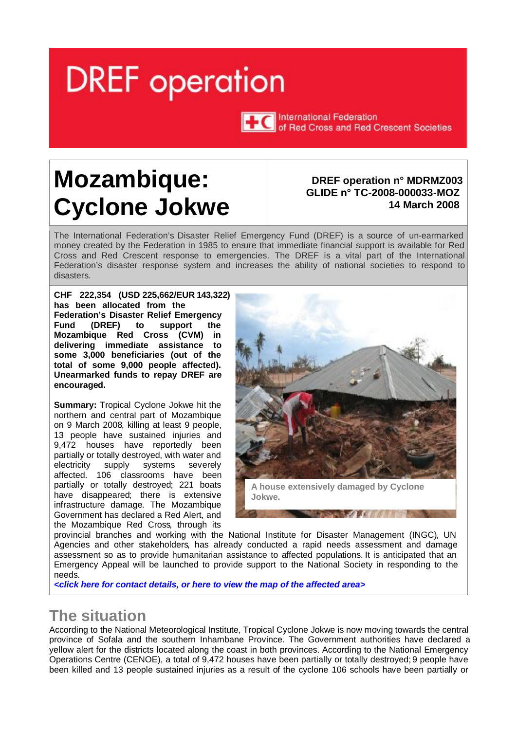# <span id="page-0-0"></span>**DREF** operation



**TTC** International Federation of Red Cross and Red Crescent Societies

# **Mozambique: Cyclone Jokwe**

#### **DREF operation n° MDRMZ003 GLIDE n° TC-2008-000033-MOZ 14 March 2008**

The International Federation's Disaster Relief Emergency Fund (DREF) is a source of un-earmarked money created by the Federation in 1985 to ensure that immediate financial support is available for Red Cross and Red Crescent response to emergencies. The DREF is a vital part of the International Federation's disaster response system and increases the ability of national societies to respond to disasters.

**CHF 222,354 (USD 225,662/EUR 143,322) has been allocated from the Federation's Disaster Relief Emergency Fund (DREF) to support the Mozambique Red Cross (CVM) in delivering immediate assistance to some 3,000 beneficiaries (out of the total of some 9,000 people affected). Unearmarked funds to repay DREF are encouraged.** 

**Summary:** Tropical Cyclone Jokwe hit the northern and central part of Mozambique on 9 March 2008, killing at least 9 people, 13 people have sustained injuries and 9,472 houses have reportedly been partially or totally destroyed, with water and electricity supply systems severely affected. 106 classrooms have been partially or totally destroyed; 221 boats have disappeared; there is extensive infrastructure damage. The Mozambique Government has declared a Red Alert, and the Mozambique Red Cross, through its



provincial branches and working with the National Institute for Disaster Management (INGC), UN Agencies and other stakeholders, has already conducted a rapid needs assessment and damage assessment so as to provide humanitarian assistance to affected populations. It is anticipated that an Emergency Appeal will be launched to provide support to the National Society in responding to the needs.

*<click [here for contact](#page-2-0) details, or here to view the map of [the affected area>](#page-3-0)* 

### **The situation**

According to the National Meteorological Institute, Tropical Cyclone Jokwe is now moving towards the central province of Sofala and the southern Inhambane Province. The Government authorities have declared a yellow alert for the districts located along the coast in both provinces. According to the National Emergency Operations Centre (CENOE), a total of 9,472 houses have been partially or totally destroyed; 9 people have been killed and 13 people sustained injuries as a result of the cyclone .106 schools have been partially or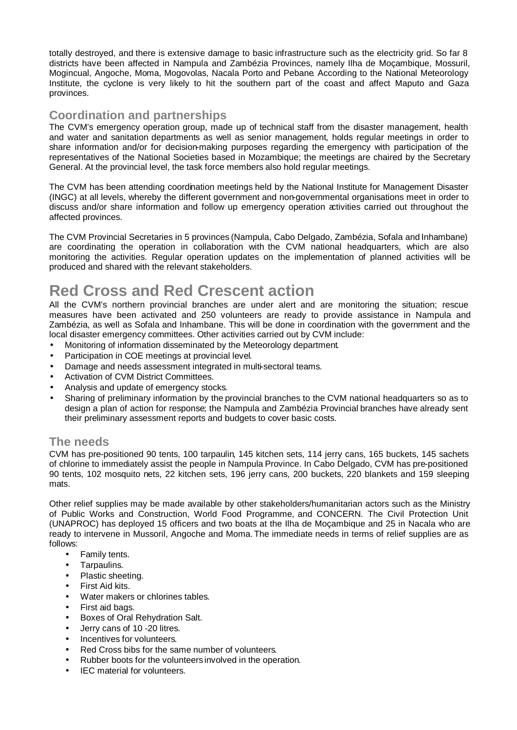totally destroyed, and there is extensive damage to basic infrastructure such as the electricity grid. So far 8 districts have been affected in Nampula and Zambézia Provinces, namely Ilha de Moçambique, Mossuril, Mogincual, Angoche, Moma, Mogovolas, Nacala Porto and Pebane. According to the National Meteorology Institute, the cyclone is very likely to hit the southern part of the coast and affect Maputo and Gaza provinces.

#### **Coordination and partnerships**

The CVM's emergency operation group, made up of technical staff from the disaster management, health and water and sanitation departments as well as senior management, holds regular meetings in order to share information and/or for decision-making purposes regarding the emergency with participation of the representatives of the National Societies based in Mozambique; the meetings are chaired by the Secretary General. At the provincial level, the task force members also hold regular meetings.

The CVM has been attending coordination meetings held by the National Institute for Management Disaster (INGC) at all levels, whereby the different government and non-governmental organisations meet in order to discuss and/or share information and follow up emergency operation activities carried out throughout the affected provinces.

The CVM Provincial Secretaries in 5 provinces (Nampula, Cabo Delgado, Zambézia, Sofala and Inhambane) are coordinating the operation in collaboration with the CVM national headquarters, which are also monitoring the activities. Regular operation updates on the implementation of planned activities will be produced and shared with the relevant stakeholders.

### **Red Cross and Red Crescent action**

All the CVM's northern provincial branches are under alert and are monitoring the situation; rescue measures have been activated and 250 volunteers are ready to provide assistance in Nampula and Zambézia, as well as Sofala and Inhambane. This will be done in coordination with the government and the local disaster emergency committees. Other activities carried out by CVM include:

- Monitoring of information disseminated by the Meteorology department.
- Participation in COE meetings at provincial level.
- Damage and needs assessment integrated in multi-sectoral teams.
- Activation of CVM District Committees.
- Analysis and update of emergency stocks.
- Sharing of preliminary information by the provincial branches to the CVM national headquarters so as to design a plan of action for response; the Nampula and Zambézia Provincial branches have already sent their preliminary assessment reports and budgets to cover basic costs.

#### **The needs**

CVM has pre-positioned 90 tents, 100 tarpaulin, 145 kitchen sets, 114 jerry cans, 165 buckets, 145 sachets of chlorine to immediately assist the people in Nampula Province. In Cabo Delgado, CVM has pre-positioned 90 tents, 102 mosquito nets, 22 kitchen sets, 196 jerry cans, 200 buckets, 220 blankets and 159 sleeping mats.

Other relief supplies may be made available by other stakeholders/humanitarian actors such as the Ministry of Public Works and Construction, World Food Programme, and CONCERN. The Civil Protection Unit (UNAPROC) has deployed 15 officers and two boats at the Ilha de Moçambique and 25 in Nacala who are ready to intervene in Mussoril, Angoche and Moma. The immediate needs in terms of relief supplies are as follows:

- Family tents.
- Tarpaulins.
- Plastic sheeting.
- First Aid kits.
- Water makers or chlorines tables.
- First aid bags.
- Boxes of Oral Rehydration Salt.
- Jerry cans of 10 -20 litres.
- Incentives for volunteers.
- Red Cross bibs for the same number of volunteers.
- Rubber boots for the volunteers involved in the operation.
- IEC material for volunteers.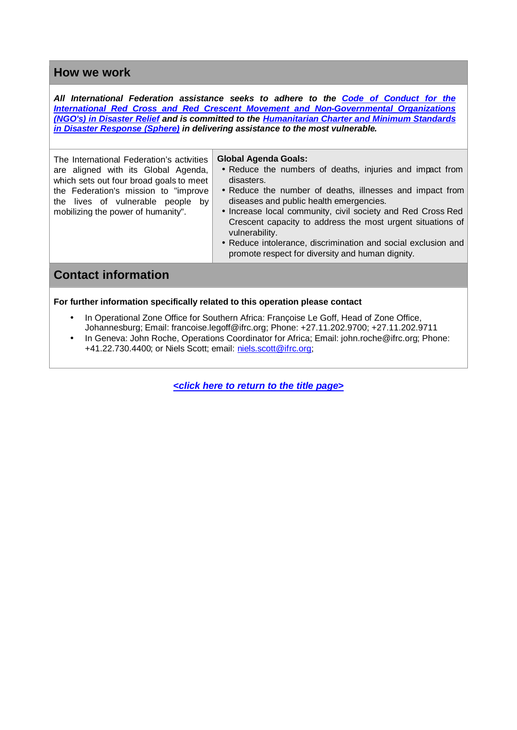#### <span id="page-2-0"></span>**How we work**

*All International Federation assistance seeks to adhere to the Code of Conduct for the International Red Cross and Red Crescent Movement and Non-Governmental Organizations (NGO's) in Disaster Relief and is committed to the Humanitarian Charter and Minimum Standards in Disaster Response (Sphere) in delivering assistance to the most vulnerable.*

The International Federation's activities are aligned with its Global Agenda, which sets out four broad goals to meet the Federation's mission to "improve the lives of vulnerable people by mobilizing the power of humanity".

#### **Global Agenda Goals:**

- Reduce the numbers of deaths, injuries and impact from disasters.
- Reduce the number of deaths, illnesses and impact from diseases and public health emergencies.
- Increase local community, civil society and Red Cross Red Crescent capacity to address the most urgent situations of vulnerability.
- Reduce intolerance, discrimination and social exclusion and promote respect for diversity and human dignity.

#### **Contact information**

**For further information specifically related to this operation please contact**

- In Operational Zone Office for Southern Africa: Françoise Le Goff, Head of Zone Office, Johannesburg; Email: francoise[.legoff@ifrc.org;](mailto:legoff@ifrc.org) Phone: +27.11.202.9700; +27.11.202.9711
- In Geneva: John Roche, Operations Coordinator for Africa; Email: john.[roche@ifrc.org;](mailto:roche@ifrc.org) Phone: +41.22.730.4400; or Niels Scott; email: niels.[scott@ifrc.org;](mailto:scott@ifrc.org)

*[<click here to return to the title](#page-0-0) page>*